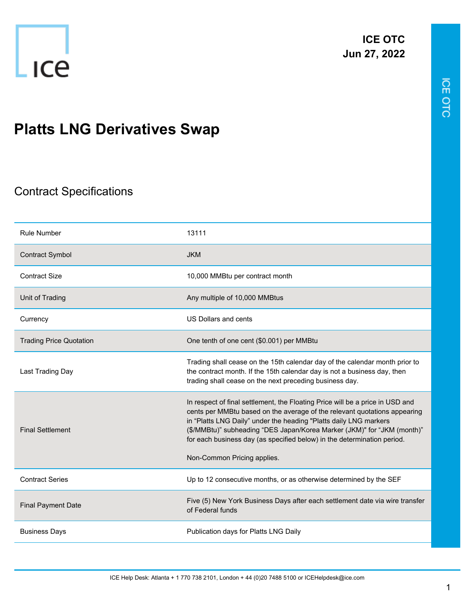

## **Platts LNG Derivatives Swap**

## Contract Specifications

| <b>Rule Number</b>             | 13111                                                                                                                                                                                                                                                                                                                                                                                                                |
|--------------------------------|----------------------------------------------------------------------------------------------------------------------------------------------------------------------------------------------------------------------------------------------------------------------------------------------------------------------------------------------------------------------------------------------------------------------|
| <b>Contract Symbol</b>         | <b>JKM</b>                                                                                                                                                                                                                                                                                                                                                                                                           |
| <b>Contract Size</b>           | 10,000 MMBtu per contract month                                                                                                                                                                                                                                                                                                                                                                                      |
| Unit of Trading                | Any multiple of 10,000 MMBtus                                                                                                                                                                                                                                                                                                                                                                                        |
| Currency                       | US Dollars and cents                                                                                                                                                                                                                                                                                                                                                                                                 |
| <b>Trading Price Quotation</b> | One tenth of one cent (\$0.001) per MMBtu                                                                                                                                                                                                                                                                                                                                                                            |
| Last Trading Day               | Trading shall cease on the 15th calendar day of the calendar month prior to<br>the contract month. If the 15th calendar day is not a business day, then<br>trading shall cease on the next preceding business day.                                                                                                                                                                                                   |
| <b>Final Settlement</b>        | In respect of final settlement, the Floating Price will be a price in USD and<br>cents per MMBtu based on the average of the relevant quotations appearing<br>in "Platts LNG Daily" under the heading "Platts daily LNG markers<br>(\$/MMBtu)" subheading "DES Japan/Korea Marker (JKM)" for "JKM (month)"<br>for each business day (as specified below) in the determination period.<br>Non-Common Pricing applies. |
| <b>Contract Series</b>         | Up to 12 consecutive months, or as otherwise determined by the SEF                                                                                                                                                                                                                                                                                                                                                   |
| <b>Final Payment Date</b>      | Five (5) New York Business Days after each settlement date via wire transfer<br>of Federal funds                                                                                                                                                                                                                                                                                                                     |
| <b>Business Days</b>           | Publication days for Platts LNG Daily                                                                                                                                                                                                                                                                                                                                                                                |